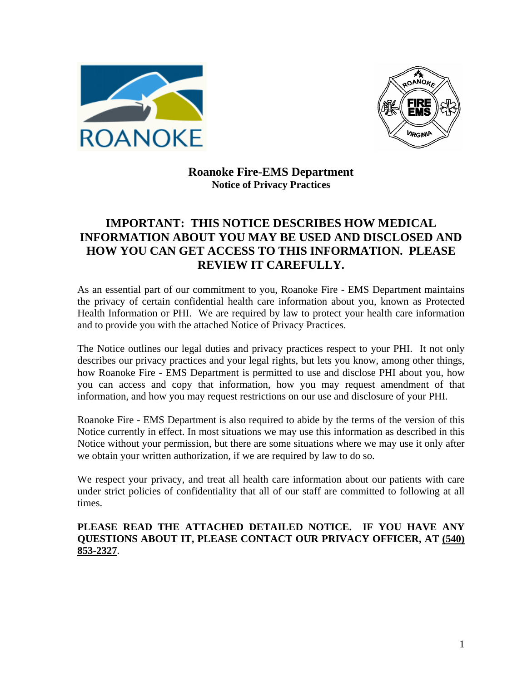



## **Roanoke Fire-EMS Department Notice of Privacy Practices**

## **IMPORTANT: THIS NOTICE DESCRIBES HOW MEDICAL INFORMATION ABOUT YOU MAY BE USED AND DISCLOSED AND HOW YOU CAN GET ACCESS TO THIS INFORMATION. PLEASE REVIEW IT CAREFULLY.**

As an essential part of our commitment to you, Roanoke Fire - EMS Department maintains the privacy of certain confidential health care information about you, known as Protected Health Information or PHI. We are required by law to protect your health care information and to provide you with the attached Notice of Privacy Practices.

The Notice outlines our legal duties and privacy practices respect to your PHI. It not only describes our privacy practices and your legal rights, but lets you know, among other things, how Roanoke Fire - EMS Department is permitted to use and disclose PHI about you, how you can access and copy that information, how you may request amendment of that information, and how you may request restrictions on our use and disclosure of your PHI.

Roanoke Fire - EMS Department is also required to abide by the terms of the version of this Notice currently in effect. In most situations we may use this information as described in this Notice without your permission, but there are some situations where we may use it only after we obtain your written authorization, if we are required by law to do so.

We respect your privacy, and treat all health care information about our patients with care under strict policies of confidentiality that all of our staff are committed to following at all times.

## **PLEASE READ THE ATTACHED DETAILED NOTICE. IF YOU HAVE ANY QUESTIONS ABOUT IT, PLEASE CONTACT OUR PRIVACY OFFICER, AT (540) 853-2327**.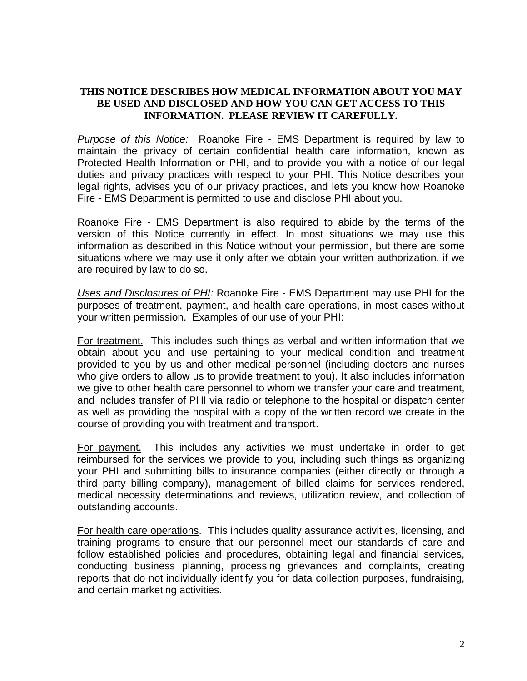## **THIS NOTICE DESCRIBES HOW MEDICAL INFORMATION ABOUT YOU MAY BE USED AND DISCLOSED AND HOW YOU CAN GET ACCESS TO THIS INFORMATION. PLEASE REVIEW IT CAREFULLY.**

*Purpose of this Notice:* Roanoke Fire - EMS Department is required by law to maintain the privacy of certain confidential health care information, known as Protected Health Information or PHI, and to provide you with a notice of our legal duties and privacy practices with respect to your PHI. This Notice describes your legal rights, advises you of our privacy practices, and lets you know how Roanoke Fire - EMS Department is permitted to use and disclose PHI about you.

Roanoke Fire - EMS Department is also required to abide by the terms of the version of this Notice currently in effect. In most situations we may use this information as described in this Notice without your permission, but there are some situations where we may use it only after we obtain your written authorization, if we are required by law to do so.

*Uses and Disclosures of PHI:* Roanoke Fire - EMS Department may use PHI for the purposes of treatment, payment, and health care operations, in most cases without your written permission. Examples of our use of your PHI:

For treatment. This includes such things as verbal and written information that we obtain about you and use pertaining to your medical condition and treatment provided to you by us and other medical personnel (including doctors and nurses who give orders to allow us to provide treatment to you). It also includes information we give to other health care personnel to whom we transfer your care and treatment, and includes transfer of PHI via radio or telephone to the hospital or dispatch center as well as providing the hospital with a copy of the written record we create in the course of providing you with treatment and transport.

For payment. This includes any activities we must undertake in order to get reimbursed for the services we provide to you, including such things as organizing your PHI and submitting bills to insurance companies (either directly or through a third party billing company), management of billed claims for services rendered, medical necessity determinations and reviews, utilization review, and collection of outstanding accounts.

For health care operations. This includes quality assurance activities, licensing, and training programs to ensure that our personnel meet our standards of care and follow established policies and procedures, obtaining legal and financial services, conducting business planning, processing grievances and complaints, creating reports that do not individually identify you for data collection purposes, fundraising, and certain marketing activities.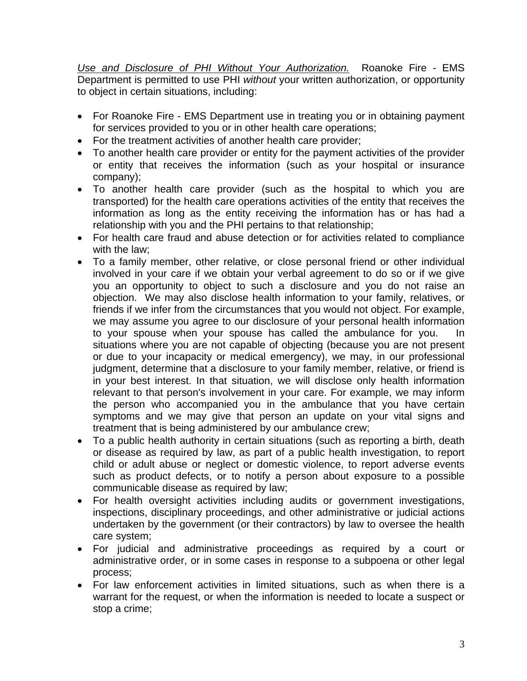*Use and Disclosure of PHI Without Your Authorization.* Roanoke Fire - EMS Department is permitted to use PHI *without* your written authorization, or opportunity to object in certain situations, including:

- For Roanoke Fire EMS Department use in treating you or in obtaining payment for services provided to you or in other health care operations;
- For the treatment activities of another health care provider;
- To another health care provider or entity for the payment activities of the provider or entity that receives the information (such as your hospital or insurance company);
- To another health care provider (such as the hospital to which you are transported) for the health care operations activities of the entity that receives the information as long as the entity receiving the information has or has had a relationship with you and the PHI pertains to that relationship;
- For health care fraud and abuse detection or for activities related to compliance with the law;
- To a family member, other relative, or close personal friend or other individual involved in your care if we obtain your verbal agreement to do so or if we give you an opportunity to object to such a disclosure and you do not raise an objection. We may also disclose health information to your family, relatives, or friends if we infer from the circumstances that you would not object. For example, we may assume you agree to our disclosure of your personal health information to your spouse when your spouse has called the ambulance for you. In situations where you are not capable of objecting (because you are not present or due to your incapacity or medical emergency), we may, in our professional judgment, determine that a disclosure to your family member, relative, or friend is in your best interest. In that situation, we will disclose only health information relevant to that person's involvement in your care. For example, we may inform the person who accompanied you in the ambulance that you have certain symptoms and we may give that person an update on your vital signs and treatment that is being administered by our ambulance crew;
- To a public health authority in certain situations (such as reporting a birth, death or disease as required by law, as part of a public health investigation, to report child or adult abuse or neglect or domestic violence, to report adverse events such as product defects, or to notify a person about exposure to a possible communicable disease as required by law;
- For health oversight activities including audits or government investigations, inspections, disciplinary proceedings, and other administrative or judicial actions undertaken by the government (or their contractors) by law to oversee the health care system;
- For judicial and administrative proceedings as required by a court or administrative order, or in some cases in response to a subpoena or other legal process;
- For law enforcement activities in limited situations, such as when there is a warrant for the request, or when the information is needed to locate a suspect or stop a crime;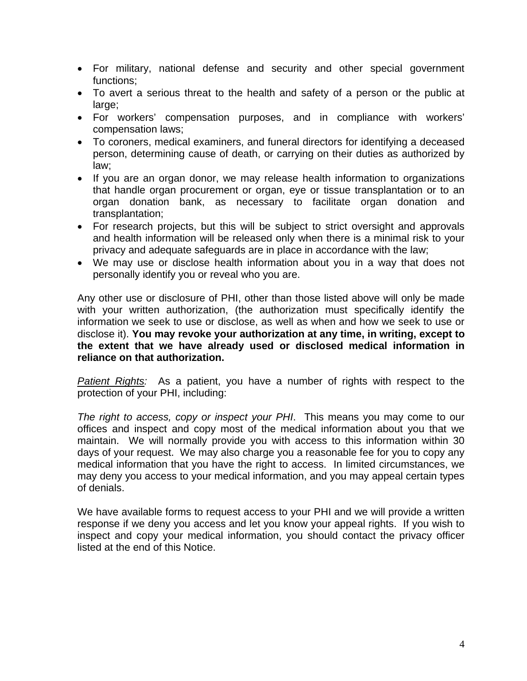- For military, national defense and security and other special government functions;
- To avert a serious threat to the health and safety of a person or the public at large:
- For workers' compensation purposes, and in compliance with workers' compensation laws;
- To coroners, medical examiners, and funeral directors for identifying a deceased person, determining cause of death, or carrying on their duties as authorized by law;
- If you are an organ donor, we may release health information to organizations that handle organ procurement or organ, eye or tissue transplantation or to an organ donation bank, as necessary to facilitate organ donation and transplantation;
- For research projects, but this will be subject to strict oversight and approvals and health information will be released only when there is a minimal risk to your privacy and adequate safeguards are in place in accordance with the law;
- We may use or disclose health information about you in a way that does not personally identify you or reveal who you are.

Any other use or disclosure of PHI, other than those listed above will only be made with your written authorization, (the authorization must specifically identify the information we seek to use or disclose, as well as when and how we seek to use or disclose it). **You may revoke your authorization at any time, in writing, except to the extent that we have already used or disclosed medical information in reliance on that authorization.**

*Patient Rights:* As a patient, you have a number of rights with respect to the protection of your PHI, including:

*The right to access, copy or inspect your PHI*. This means you may come to our offices and inspect and copy most of the medical information about you that we maintain. We will normally provide you with access to this information within 30 days of your request. We may also charge you a reasonable fee for you to copy any medical information that you have the right to access. In limited circumstances, we may deny you access to your medical information, and you may appeal certain types of denials.

We have available forms to request access to your PHI and we will provide a written response if we deny you access and let you know your appeal rights. If you wish to inspect and copy your medical information, you should contact the privacy officer listed at the end of this Notice.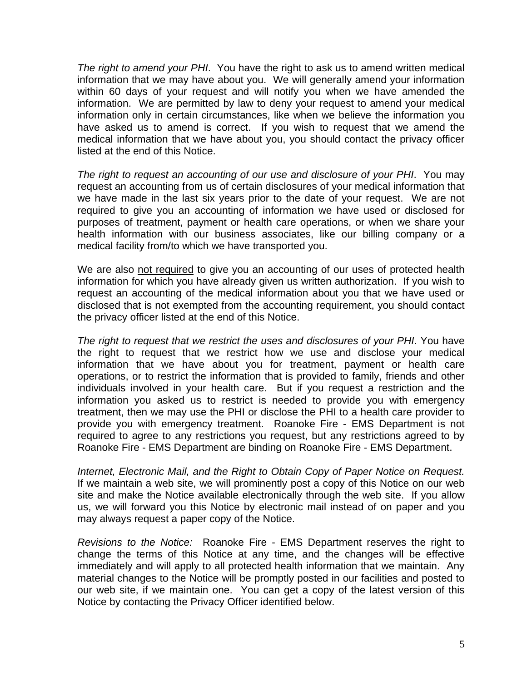*The right to amend your PHI*. You have the right to ask us to amend written medical information that we may have about you. We will generally amend your information within 60 days of your request and will notify you when we have amended the information. We are permitted by law to deny your request to amend your medical information only in certain circumstances, like when we believe the information you have asked us to amend is correct. If you wish to request that we amend the medical information that we have about you, you should contact the privacy officer listed at the end of this Notice.

*The right to request an accounting of our use and disclosure of your PHI*. You may request an accounting from us of certain disclosures of your medical information that we have made in the last six years prior to the date of your request. We are not required to give you an accounting of information we have used or disclosed for purposes of treatment, payment or health care operations, or when we share your health information with our business associates, like our billing company or a medical facility from/to which we have transported you.

We are also not required to give you an accounting of our uses of protected health information for which you have already given us written authorization. If you wish to request an accounting of the medical information about you that we have used or disclosed that is not exempted from the accounting requirement, you should contact the privacy officer listed at the end of this Notice.

*The right to request that we restrict the uses and disclosures of your PHI*. You have the right to request that we restrict how we use and disclose your medical information that we have about you for treatment, payment or health care operations, or to restrict the information that is provided to family, friends and other individuals involved in your health care. But if you request a restriction and the information you asked us to restrict is needed to provide you with emergency treatment, then we may use the PHI or disclose the PHI to a health care provider to provide you with emergency treatment. Roanoke Fire - EMS Department is not required to agree to any restrictions you request, but any restrictions agreed to by Roanoke Fire - EMS Department are binding on Roanoke Fire - EMS Department.

*Internet, Electronic Mail, and the Right to Obtain Copy of Paper Notice on Request.*  If we maintain a web site, we will prominently post a copy of this Notice on our web site and make the Notice available electronically through the web site. If you allow us, we will forward you this Notice by electronic mail instead of on paper and you may always request a paper copy of the Notice.

*Revisions to the Notice:* Roanoke Fire - EMS Department reserves the right to change the terms of this Notice at any time, and the changes will be effective immediately and will apply to all protected health information that we maintain. Any material changes to the Notice will be promptly posted in our facilities and posted to our web site, if we maintain one. You can get a copy of the latest version of this Notice by contacting the Privacy Officer identified below.